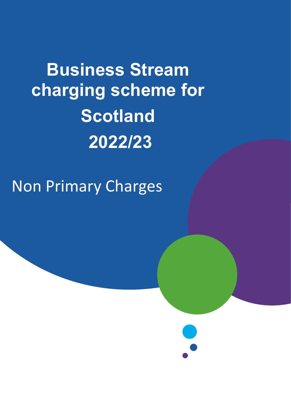# **Business Stream charging scheme for Scotland 2022/23**

## Non Primary Charges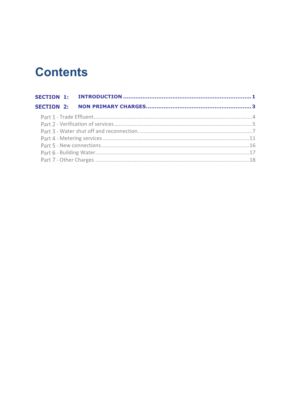## **Contents**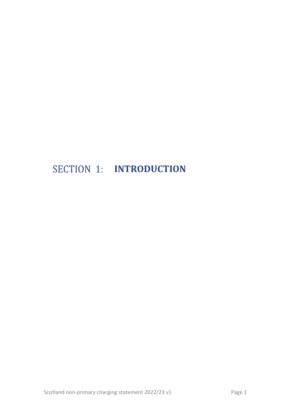## <span id="page-2-0"></span>**SECTION 1: INTRODUCTION**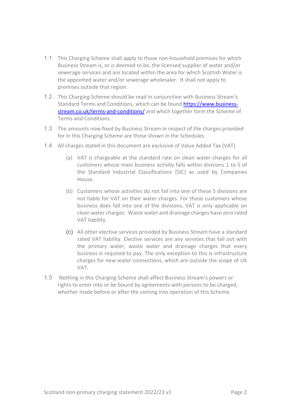- 1.1 This Charging Scheme shall apply to those non-household premises for which Business Stream is, or is deemed to be, the licensed supplier of water and/or sewerage services and are located within the area for which Scottish Water is the appointed water and/or sewerage wholesaler. It shall not apply to premises outside that region.
- 1.2 This Charging Scheme should be read in conjunction with Business Stream's Standard Terms and Conditions, which can be found [https://www.business](https://www.business-stream.co.uk/terms-and-conditions/)[stream.co.uk/terms-and-conditions/](https://www.business-stream.co.uk/terms-and-conditions/) and which together form the Scheme of Terms and Conditions.
- 1.3 The amounts now fixed by Business Stream in respect of the charges provided for in this Charging Scheme are those shown in the Schedules.
- 1.4 All charges stated in this document are exclusive of Value Added Tax (VAT).
	- (a) VAT is chargeable at the standard rate on clean water charges for all customers whose main business activity falls within divisions 1 to 5 of the Standard Industrial Classifications (SIC) as used by Companies House.
	- (b) Customers whose activities do not fall into one of these 5 divisions are not liable for VAT on their water charges. For those customers whose business does fall into one of the divisions, VAT is only applicable on clean water charges. Waste water and drainage charges have zero rated VAT liability.
	- (c) All other elective services provided by Business Stream have a standard rated VAT liability. Elective services are any services that fall out with the primary water, waste water and drainage charges that every business is required to pay. The only exception to this is infrastructure charges for new water connections, which are outside the scope of UK VAT.
- 1.5 Nothing in this Charging Scheme shall affect Business Stream's powers or rights to enter into or be bound by agreements with persons to be charged, whether made before or after the coming into operation of this Scheme.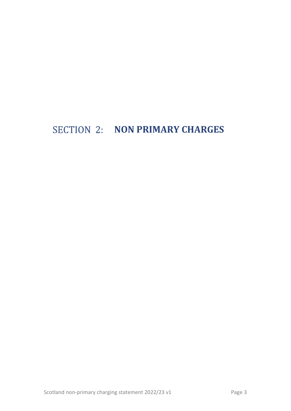## <span id="page-4-0"></span>SECTION 2: **NON PRIMARY CHARGES**

Scotland non-primary charging statement 2022/23 v1 Page 3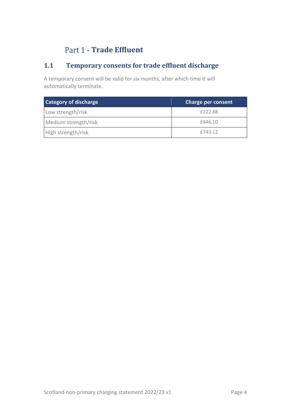#### Part 1 - **Trade Effluent**

#### <span id="page-5-0"></span>**1.1 Temporary consents for trade effluent discharge**

A temporary consent will be valid for six months, after which time it will automatically terminate.

| Category of discharge | <b>Charge per consent</b> |
|-----------------------|---------------------------|
| Low strength/risk     | £222.88                   |
| Medium strength/risk  | £446.10                   |
| High strength/risk    | £743.12                   |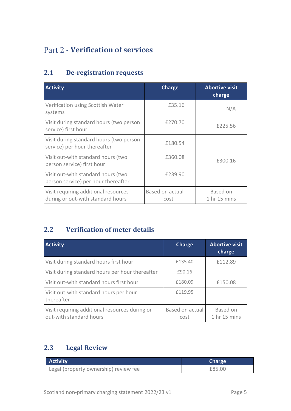#### <span id="page-6-0"></span>Part 2 - **Verification of services**

#### **2.1 De-registration requests**

| <b>Activity</b>                                                           | Charge                  | <b>Abortive visit</b><br>charge     |
|---------------------------------------------------------------------------|-------------------------|-------------------------------------|
| Verification using Scottish Water<br>systems                              | £35.16                  | N/A                                 |
| Visit during standard hours (two person<br>service) first hour            | £270.70                 | £225.56                             |
| Visit during standard hours (two person<br>service) per hour thereafter   | £180.54                 |                                     |
| Visit out-with standard hours (two<br>person service) first hour          | £360.08                 | £300.16                             |
| Visit out-with standard hours (two<br>person service) per hour thereafter | £239.90                 |                                     |
| Visit requiring additional resources<br>during or out-with standard hours | Based on actual<br>cost | Based on<br>1 <sub>hr</sub> 15 mins |

#### **2.2 Verification of meter details**

| <b>Activity</b>                                                           | Charge                  | <b>Abortive visit</b><br>charge |
|---------------------------------------------------------------------------|-------------------------|---------------------------------|
| Visit during standard hours first hour                                    | £135.40                 | £112.89                         |
| Visit during standard hours per hour thereafter                           | £90.16                  |                                 |
| Visit out-with standard hours first hour                                  | £180.09                 | £150.08                         |
| Visit out-with standard hours per hour<br>thereafter                      | £119.95                 |                                 |
| Visit requiring additional resources during or<br>out-with standard hours | Based on actual<br>cost | Based on<br>1 hr 15 mins        |

#### **2.3 Legal Review**

| <b>Activity</b>                       | <b>Charge</b> |  |
|---------------------------------------|---------------|--|
| Legal (property ownership) review fee | £85.00        |  |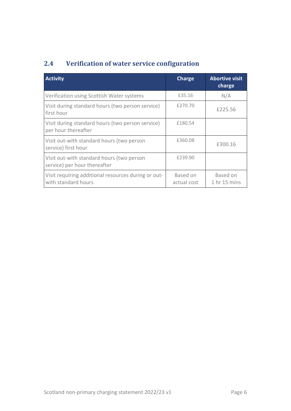#### **2.4 Verification of water service configuration**

| <b>Activity</b>                                                            | Charge                  | <b>Abortive visit</b><br>charge |
|----------------------------------------------------------------------------|-------------------------|---------------------------------|
| Verification using Scottish Water systems                                  | £35.16                  | N/A                             |
| Visit during standard hours (two person service)<br>first hour             | £270.70                 | £225.56                         |
| Visit during standard hours (two person service)<br>per hour thereafter    | £180.54                 |                                 |
| Visit out-with standard hours (two person<br>service) first hour           | £360.08                 | £300.16                         |
| Visit out-with standard hours (two person<br>service) per hour thereafter  | £239.90                 |                                 |
| Visit requiring additional resources during or out-<br>with standard hours | Based on<br>actual cost | Based on<br>1 hr 15 mins        |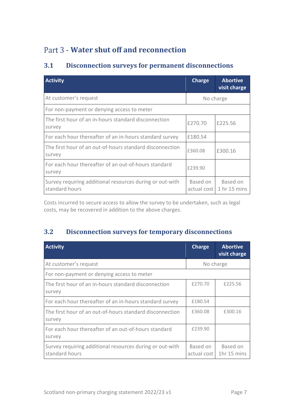#### <span id="page-8-0"></span>Part 3 - Water shut off and reconnection

#### **3.1 Disconnection surveys for permanent disconnections**

| <b>Activity</b>                                                            | Charge                  | <b>Abortive</b><br>visit charge     |
|----------------------------------------------------------------------------|-------------------------|-------------------------------------|
| At customer's request                                                      |                         | No charge                           |
| For non-payment or denying access to meter                                 |                         |                                     |
| The first hour of an in-hours standard disconnection<br>survey             | £270.70                 | £225.56                             |
| For each hour thereafter of an in-hours standard survey                    | £180.54                 |                                     |
| The first hour of an out-of-hours standard disconnection<br>survey         | £360.08                 | £300.16                             |
| For each hour thereafter of an out-of-hours standard<br>survey             | £239.90                 |                                     |
| Survey requiring additional resources during or out-with<br>standard hours | Based on<br>actual cost | Based on<br>1 <sub>hr</sub> 15 mins |

Costs incurred to secure access to allow the survey to be undertaken, such as legal costs, may be recovered in addition to the above charges.

#### **3.2 Disconnection surveys for temporary disconnections**

| <b>Activity</b>                                                            | <b>Charge</b>           | <b>Abortive</b><br>visit charge |
|----------------------------------------------------------------------------|-------------------------|---------------------------------|
| At customer's request                                                      | No charge               |                                 |
| For non-payment or denying access to meter                                 |                         |                                 |
| The first hour of an in-hours standard disconnection<br>survey             | £270.70                 | £225.56                         |
| For each hour thereafter of an in-hours standard survey                    | £180.54                 |                                 |
| The first hour of an out-of-hours standard disconnection<br>survey         | £360.08                 | £300.16                         |
| For each hour thereafter of an out-of-hours standard<br>survey             | £239.90                 |                                 |
| Survey requiring additional resources during or out-with<br>standard hours | Based on<br>actual cost | Based on<br>1 $hr$ 15 mins      |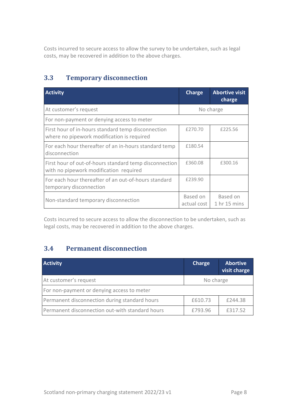Costs incurred to secure access to allow the survey to be undertaken, such as legal costs, may be recovered in addition to the above charges.

#### **3.3 Temporary disconnection**

| <b>Activity</b>                                                                                  | Charge                  | <b>Abortive visit</b><br>charge |
|--------------------------------------------------------------------------------------------------|-------------------------|---------------------------------|
| At customer's request                                                                            |                         | No charge                       |
| For non-payment or denying access to meter                                                       |                         |                                 |
| First hour of in-hours standard temp disconnection<br>where no pipework modification is required | £270.70                 | £225.56                         |
| For each hour thereafter of an in-hours standard temp<br>disconnection                           | £180.54                 |                                 |
| First hour of out-of-hours standard temp disconnection<br>with no pipework modification required | £360.08                 | £300.16                         |
| For each hour thereafter of an out-of-hours standard<br>temporary disconnection                  | £239.90                 |                                 |
| Non-standard temporary disconnection                                                             | Based on<br>actual cost | Based on<br>1 hr 15 mins        |

Costs incurred to secure access to allow the disconnection to be undertaken, such as legal costs, may be recovered in addition to the above charges.

#### **3.4 Permanent disconnection**

| <b>Activity</b>                                 | Charge    | <b>Abortive</b><br>visit charge |
|-------------------------------------------------|-----------|---------------------------------|
| At customer's request                           | No charge |                                 |
| For non-payment or denying access to meter      |           |                                 |
| Permanent disconnection during standard hours   | £610.73   | £244.38                         |
| Permanent disconnection out-with standard hours | £793.96   | £317.52                         |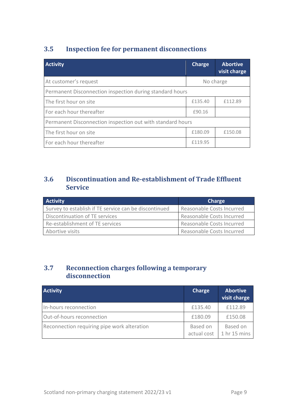#### **3.5 Inspection fee for permanent disconnections**

| <b>Activity</b>                                            | <b>Charge</b> | <b>Abortive</b><br>visit charge |
|------------------------------------------------------------|---------------|---------------------------------|
| At customer's request                                      |               | No charge                       |
| Permanent Disconnection inspection during standard hours   |               |                                 |
| The first hour on site                                     | £135.40       | £112.89                         |
| For each hour thereafter                                   | £90.16        |                                 |
| Permanent Disconnection inspection out with standard hours |               |                                 |
| The first hour on site                                     | £180.09       | £150.08                         |
| For each hour thereafter                                   | £119.95       |                                 |

#### **3.6 Discontinuation and Re-establishment of Trade Effluent Service**

| <b>Activity</b>                                       | <b>Charge</b>             |
|-------------------------------------------------------|---------------------------|
| Survey to establish if TE service can be discontinued | Reasonable Costs Incurred |
| Discontinuation of TE services                        | Reasonable Costs Incurred |
| Re-establishment of TE services                       | Reasonable Costs Incurred |
| Abortive visits                                       | Reasonable Costs Incurred |

#### **3.7 Reconnection charges following a temporary disconnection**

| <b>Activity</b>                             | Charge                  | <b>Abortive</b><br>visit charge     |
|---------------------------------------------|-------------------------|-------------------------------------|
| In-hours reconnection                       | £135.40                 | £112.89                             |
| Out-of-hours reconnection                   | £180.09                 | £150.08                             |
| Reconnection requiring pipe work alteration | Based on<br>actual cost | Based on<br>1 <sub>hr</sub> 15 mins |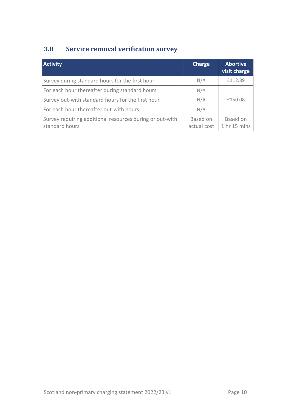#### **3.8 Service removal verification survey**

| <b>Activity</b>                                                            | Charge                  | <b>Abortive</b><br>visit charge |
|----------------------------------------------------------------------------|-------------------------|---------------------------------|
| Survey during standard hours for the first hour                            | N/A                     | £112.89                         |
| For each hour thereafter during standard hours                             | N/A                     |                                 |
| Survey out-with standard hours for the first hour                          | N/A                     | £150.08                         |
| For each hour thereafter out-with hours                                    | N/A                     |                                 |
| Survey requiring additional resources during or out-with<br>standard hours | Based on<br>actual cost | Based on<br>1 hr 15 mins        |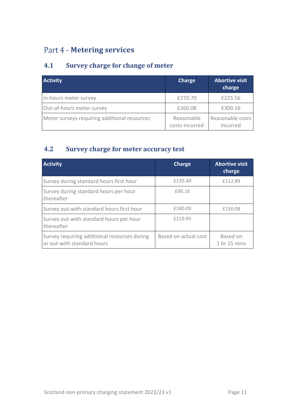#### <span id="page-12-0"></span>Part 4 - **Metering services**

#### **4.1 Survey charge for change of meter**

| <b>Activity</b>                              | Charge                       | <b>Abortive visit</b><br>charge |
|----------------------------------------------|------------------------------|---------------------------------|
| In-hours meter survey                        | £270.70                      | £225.56                         |
| Out-of-hours meter survey                    | £360.08                      | £300.16                         |
| Meter surveys requiring additional resources | Reasonable<br>costs incurred | Reasonable costs<br>incurred    |

#### **4.2 Survey charge for meter accuracy test**

| <b>Activity</b>                                                            | Charge               | <b>Abortive visit</b><br>charge |
|----------------------------------------------------------------------------|----------------------|---------------------------------|
| Survey during standard hours first hour                                    | £135.40              | £112.89                         |
| Survey during standard hours per hour<br>thereafter                        | £90.16               |                                 |
| Survey out-with standard hours first hour                                  | £180.09              | £150.08                         |
| Survey out-with standard hours per hour<br>thereafter                      | £119.95              |                                 |
| Survey requiring additional resources during<br>or out-with standard hours | Based on actual cost | Based on<br>1 hr 15 mins        |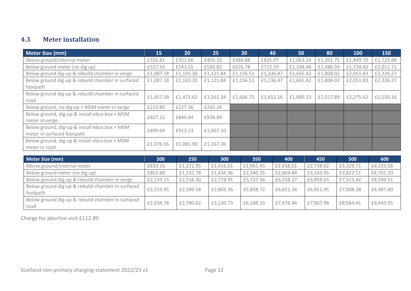#### **4.3 Meter installation**

| Meter Size (mm)                                                             | 15        | 20        | 25        | 30        | 40        | 50        | 80        | 100       | 150       |
|-----------------------------------------------------------------------------|-----------|-----------|-----------|-----------|-----------|-----------|-----------|-----------|-----------|
| Above ground/internal meter                                                 | £335.81   | £351.66   | £405.10   | £484.88   | £825.97   | £1,063.24 | £1,201.75 | £1,449.70 | £1,723.88 |
| Below ground meter (no dig up)                                              | £527.50   | £543.55   | £596.82   | £676.78   | £722.19   | £1,348.48 | £1,486.93 | £1,734.60 | £2,011.71 |
| Below ground dig-up & rebuild chamber in verge                              | £1,087.18 | £1,103.20 | £1,121.84 | £1,156.51 | £1,236.47 | £1,665.42 | £1,804.02 | £2,051.83 | £2,326.27 |
| Below ground dig-up & rebuild chamber in surfaced<br>footpath               | £1,087.18 | £1,103.20 | £1,121.84 | £1,156.51 | £1,236.47 | £1,665.42 | £1,804.02 | £2,051.83 | £2,326.27 |
| Below ground dig-up & rebuild chamber in surfaced<br>road                   | £1,457.58 | £1,473.62 | £1,561.34 | £1,606.75 | £1,652.16 | £1,889.23 | £2,027.89 | £2,275.62 | £2,550.16 |
| Below ground, no dig-up + MSM meter in verge                                | £213.80   | £227.36   | £241.24   |           |           |           |           |           |           |
| Below ground, dig-up & install ebco box + MSM<br>meter in verge             | £827.12   | £840.44   | £938.89   |           |           |           |           |           |           |
| Below ground, dig-up & install ebco box + MSM<br>meter in surfaced footpath | £899.69   | £913.13   | £1,007.10 |           |           |           |           |           |           |
| Below ground, dig up & install ebco box + MSM<br>meter in road              | £1,076.56 | £1,081.90 | £1,167.26 |           |           |           |           |           |           |
|                                                                             |           |           |           |           |           |           |           |           |           |
| <b>Meter Size (mm)</b>                                                      | 200       | 250       | 300       |           | 350       | 400       | 450       | 500       | 600       |
| Above ground/internal meter                                                 | £833.16   | £1,211.95 | £1,416.01 | £1,961.45 |           | £2,438.01 | £2,738.62 | £3,323.71 | £4,155.08 |
| Below ground meter (no dig up)                                              | £853.88   | £1,232.78 | £1,436.96 | £2,340.35 |           | £2,864.84 | £3,165.45 | £3,822.11 | £4,701.20 |
| Below ground dig-up & rebuild chamber in verge                              | £2,133.15 | £2,516.30 | £2,774.91 | £5,727.56 |           | £6,558.27 | £6,858.65 | £7,515.42 | £8,394.51 |
| Below ground dig-up & rebuild chamber in surfaced<br>footpath               | £2,219.95 | £2,599.18 | £2,803.36 | £5,858.72 |           | £6,651.34 | £6,951.95 | £7,608.38 | £8,487.80 |
| Below ground dig-up & rebuild chamber in surfaced<br>road                   | £2,534.78 | £2,780.62 | £3,130.73 | £6,188.33 |           | £7,476.44 | £7,907.98 | £8,564.41 | £9,443.95 |

Charge for abortive visit £112.89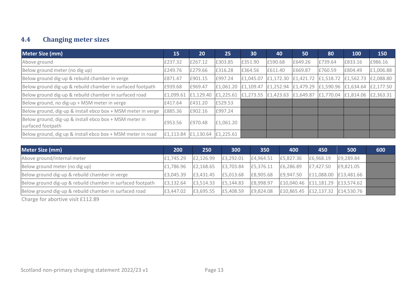#### **4.4 Changing meter sizes**

| <b>Meter Size (mm)</b>                                                      | 15        | <b>20</b> | 25                  | 30        | 40        | 50                  | 80      | 100                                                                   | 150       |
|-----------------------------------------------------------------------------|-----------|-----------|---------------------|-----------|-----------|---------------------|---------|-----------------------------------------------------------------------|-----------|
| Above ground                                                                | £237.32   | £267.12   | £303.85             | £351.90   | £590.68   | £649.26             | £739.64 | £833.16                                                               | £986.16   |
| Below ground meter (no dig up)                                              | £249.76   | £279.66   | £316.28             | £364.56   | £611.40   | £669.87             | £760.59 | £804.49                                                               | £1,006.88 |
| Below ground dig-up & rebuild chamber in verge                              | £871.47   | £901.15   | £997.24             | £1,045.07 | £1,172.30 | £1,421.72 £1,518.72 |         | £1,562.73                                                             | £2,088.80 |
| Below ground dig-up & rebuild chamber in surfaced footpath                  | £939.68   | £969.47   | £1,061.20 £1,109.47 |           |           |                     |         | £1,252.94 £1,479.29 £1,590.96 £1,634.64 £2,177.50                     |           |
| Below ground dig-up & rebuild chamber in surfaced road                      | £1,099.61 | £1,129.40 |                     |           |           |                     |         | £1,225.61 £1,273.55 £1,423.63 £1,649.87 £1,770.04 £1,814.06 £2,363.31 |           |
| Below ground, no dig-up + MSM meter in verge                                | £417.64   | £431.20   | £529.53             |           |           |                     |         |                                                                       |           |
| Below ground, dig-up & install ebco box + MSM meter in verge                | £885.36   | £902.16   | £997.24             |           |           |                     |         |                                                                       |           |
| Below ground, dig-up & install ebco box + MSM meter in<br>surfaced footpath | £953.56   | £970.48   | £1,061.20           |           |           |                     |         |                                                                       |           |
| Below ground, dig up & install ebco box + MSM meter in road                 | £1,113.84 | £1,130.64 | £1,225.61           |           |           |                     |         |                                                                       |           |

| Meter Size (mm)                                            | 200       | 250       | 300       | 350       | 400       | 450                                | 500       | 600 |
|------------------------------------------------------------|-----------|-----------|-----------|-----------|-----------|------------------------------------|-----------|-----|
| Above ground/internal meter                                | £1,745.29 | £2,126.99 | £3,292.01 | £4,964.51 | £5,827.36 | £6,968.19                          | £9,289.84 |     |
| Below ground meter (no dig up)                             | £1,786.96 | £2,168.65 | £3,703.84 | £5,376.11 | £6,286.89 | £7,427.50                          | £9,821.05 |     |
| Below ground dig-up & rebuild chamber in verge             | £3,045.39 | £3,431.45 | £5,013.68 | £8,905.68 | £9,947.50 | £11,088.00 £13,481.66              |           |     |
| Below ground dig-up & rebuild chamber in surfaced footpath | £3,132.64 | £3,514.33 | £5,144.83 | £8,998.97 |           | $£10,040.46$ £11,181.29 £13,574.62 |           |     |
| Below ground dig-up & rebuild chamber in surfaced road     | £3,447.02 | £3,695.55 | £5,408.59 | £9,824.08 |           | £10,865.45 $E12,137.32$ £14,530.76 |           |     |

Charge for abortive visit £112.89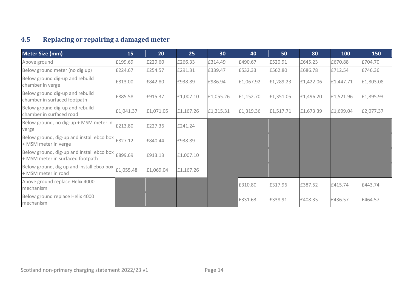#### **4.5 Replacing or repairing a damaged meter**

| <b>Meter Size (mm)</b>                                                        | 15        | 20        | 25        | 30        | 40        | 50        | 80        | 100       | 150       |
|-------------------------------------------------------------------------------|-----------|-----------|-----------|-----------|-----------|-----------|-----------|-----------|-----------|
| Above ground                                                                  | £199.69   | £229.60   | £266.33   | £314.49   | £490.67   | £520.91   | £645.23   | £670.88   | £704.70   |
| Below ground meter (no dig up)                                                | £224.67   | £254.57   | £291.31   | £339.47   | £532.33   | £562.80   | £686.78   | £712.54   | £746.36   |
| Below ground dig-up and rebuild<br>chamber in verge                           | £813.00   | £842.80   | £938.89   | £986.94   | £1,067.92 | £1,289.23 | £1,422.06 | £1,447.71 | £1,803.08 |
| Below ground dig-up and rebuild<br>chamber in surfaced footpath               | £885.58   | £915.37   | £1,007.10 | £1,055.26 | £1,152.70 | £1,351.05 | £1,496.20 | £1,521.96 | £1,895.93 |
| Below ground dig-up and rebuild<br>chamber in surfaced road                   | £1,041.37 | £1,071.05 | £1,167.26 | £1,215.31 | £1,319.36 | £1,517.71 | £1,673.39 | £1,699.04 | £2,077.37 |
| Below ground, no dig-up + MSM meter in<br>verge                               | £213.80   | £227.36   | £241.24   |           |           |           |           |           |           |
| Below ground, dig-up and install ebco box<br>+ MSM meter in verge             | £827.12   | £840.44   | £938.89   |           |           |           |           |           |           |
| Below ground, dig-up and install ebco box<br>+ MSM meter in surfaced footpath | £899.69   | £913.13   | £1,007.10 |           |           |           |           |           |           |
| Below ground, dig up and install ebco box<br>+ MSM meter in road              | £1,055.48 | £1,069.04 | £1,167.26 |           |           |           |           |           |           |
| Above ground replace Helix 4000<br>mechanism                                  |           |           |           |           | £310.80   | £317.96   | £387.52   | £415.74   | £443.74   |
| Below ground replace Helix 4000<br>mechanism                                  |           |           |           |           | £331.63   | £338.91   | £408.35   | £436.57   | £464.57   |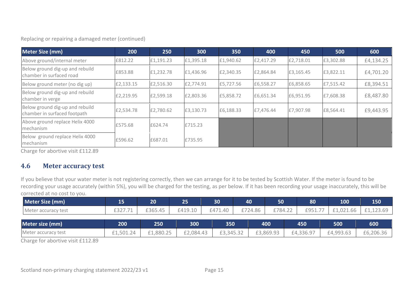Replacing or repairing a damaged meter (continued)

| <b>Meter Size (mm)</b>                                          | 200       | 250       | 300       | 350       | 400       | 450       | 500       | 600       |
|-----------------------------------------------------------------|-----------|-----------|-----------|-----------|-----------|-----------|-----------|-----------|
| Above ground/internal meter                                     | £812.22   | £1,191.23 | £1,395.18 | £1,940.62 | £2,417.29 | £2,718.01 | £3,302.88 | £4,134.25 |
| Below ground dig-up and rebuild<br>chamber in surfaced road     | £853.88   | £1,232.78 | £1,436.96 | £2,340.35 | £2,864.84 | £3,165.45 | £3,822.11 | £4,701.20 |
| Below ground meter (no dig up)                                  | £2,133.15 | £2,516.30 | £2,774.91 | £5,727.56 | £6,558.27 | £6,858.65 | £7,515.42 | £8,394.51 |
| Below ground dig-up and rebuild<br>chamber in verge             | £2,219.95 | £2,599.18 | £2,803.36 | £5,858.72 | £6,651.34 | £6,951.95 | £7,608.38 | £8,487.80 |
| Below ground dig-up and rebuild<br>chamber in surfaced footpath | £2,534.78 | £2,780.62 | £3,130.73 | £6,188.33 | £7,476.44 | £7,907.98 | £8,564.41 | £9,443.95 |
| Above ground replace Helix 4000<br>mechanism                    | £575.68   | £624.74   | £715.23   |           |           |           |           |           |
| Below ground replace Helix 4000<br>mechanism                    | £596.62   | £687.01   | £735.95   |           |           |           |           |           |

Charge for abortive visit £112.89

#### **4.6 Meter accuracy test**

If you believe that your water meter is not registering correctly, then we can arrange for it to be tested by Scottish Water. If the meter is found to be recording your usage accurately (within 5%), you will be charged for the testing, as per below. If it has been recording your usage inaccurately, this will be corrected at no cost to you.

| <b>Meter Size (mm)</b> | 15        | $20^{\circ}$ | 25 <sub>1</sub> | 30        | 40      | 50        | 80        | 100       | 150       |
|------------------------|-----------|--------------|-----------------|-----------|---------|-----------|-----------|-----------|-----------|
| Meter accuracy test    | £327.     | £365.45      | £419.10         | £471.40   | £724.86 | £784.22   | £951.     | £1,021.66 | L,123.69  |
| Meter size (mm)        | 200       | 250          | 300             | 350       |         | 400       | 450       | 500       | 600       |
| Meter accuracy test    | £1,501.24 | £1,880.25    | £2,084.43       | £3,345.32 |         | £3,869.93 | £4,336.97 | £4,993.63 | £6,206.36 |

Charge for abortive visit £112.89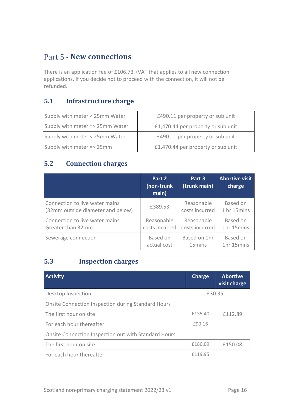#### <span id="page-17-0"></span>**Part 5 - New connections**

There is an application fee of £106.73 +VAT that applies to all new connection applications. If you decide not to proceed with the connection, it will not be refunded.

#### **5.1 Infrastructure charge**

| Supply with meter < 25mm Water  | £490.11 per property or sub unit   |
|---------------------------------|------------------------------------|
| Supply with meter => 25mm Water | £1,470.44 per property or sub unit |
| Supply with meter < 25mm Water  | £490.11 per property or sub unit   |
| Supply with meter => 25mm       | £1,470.44 per property or sub unit |

#### **5.2 Connection charges**

|                                   | Part 2<br>(non-trunk<br>main) | Part 3<br>(trunk main) | <b>Abortive visit</b><br>charge |
|-----------------------------------|-------------------------------|------------------------|---------------------------------|
| Connection to live water mains    | £389.53                       | Reasonable             | Based on                        |
| (32mm outside diameter and below) |                               | costs incurred         | 1 hr 15mins                     |
| Connection to live water mains    | Reasonable                    | Reasonable             | Based on                        |
| Greater than 32mm                 | costs incurred                | costs incurred         | 1hr 15mins                      |
| Sewerage connection               | Based on                      | Based on 1hr           | Based on                        |
|                                   | actual cost                   | 15 <sub>mins</sub>     | 1hr 15mins                      |

#### **5.3 Inspection charges**

| <b>Activity</b>                                      | <b>Charge</b> | <b>Abortive</b><br>visit charge |  |  |
|------------------------------------------------------|---------------|---------------------------------|--|--|
| Desktop Inspection                                   | £30.35        |                                 |  |  |
| Onsite Connection Inspection during Standard Hours   |               |                                 |  |  |
| The first hour on site                               | £135.40       | £112.89                         |  |  |
| For each hour thereafter                             | £90.16        |                                 |  |  |
| Onsite Connection Inspection out with Standard Hours |               |                                 |  |  |
| The first hour on site                               | £180.09       | £150.08                         |  |  |
| For each hour thereafter                             | £119.95       |                                 |  |  |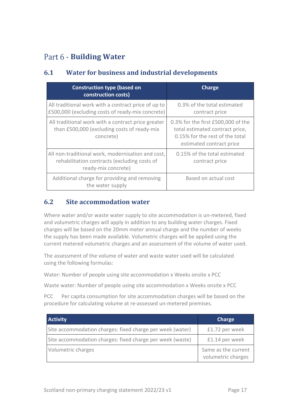#### <span id="page-18-0"></span>Part 6 - **Building Water**

#### **6.1 Water for business and industrial developments**

| <b>Construction type (based on</b><br>construction costs)                                                                | Charge                                                                                                                               |  |
|--------------------------------------------------------------------------------------------------------------------------|--------------------------------------------------------------------------------------------------------------------------------------|--|
| All traditional work with a contract price of up to<br>£500,000 (excluding costs of ready-mix concrete)                  | 0.3% of the total estimated<br>contract price                                                                                        |  |
| All traditional work with a contract price greater<br>than £500,000 (excluding costs of ready-mix<br>concrete)           | 0.3% for the first £500,000 of the<br>total estimated contract price,<br>0.15% for the rest of the total<br>estimated contract price |  |
| All non-traditional work, modernisation and cost,<br>rehabilitation contracts (excluding costs of<br>ready-mix concrete) | 0.15% of the total estimated<br>contract price                                                                                       |  |
| Additional charge for providing and removing<br>the water supply                                                         | Based on actual cost                                                                                                                 |  |

#### **6.2 Site accommodation water**

Where water and/or waste water supply to site accommodation is un-metered, fixed and volumetric charges will apply in addition to any building water charges. Fixed charges will be based on the 20mm meter annual charge and the number of weeks the supply has been made available. Volumetric charges will be applied using the current metered volumetric charges and an assessment of the volume of water used.

The assessment of the volume of water and waste water used will be calculated using the following formulas:

Water: Number of people using site accommodation x Weeks onsite x PCC

Waste water: Number of people using site accommodation x Weeks onsite x PCC

PCC Per capita consumption for site accommodation charges will be based on the procedure for calculating volume at re-assessed un-metered premises.

| <b>Activity</b>                                           | Charge                                    |
|-----------------------------------------------------------|-------------------------------------------|
| Site accommodation charges: fixed charge per week (water) | £1.72 per week                            |
| Site accommodation charges: fixed charge per week (waste) | £1.14 per week                            |
| Volumetric charges                                        | Same as the current<br>volumetric charges |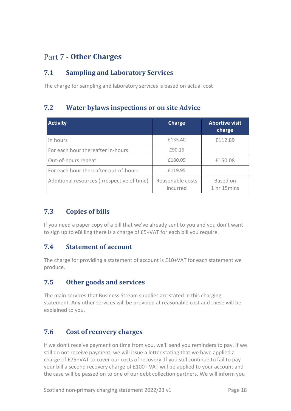#### <span id="page-19-0"></span>Part 7 - Other Charges

#### **7.1 Sampling and Laboratory Services**

The charge for sampling and laboratory services is based on actual cost

#### **7.2 Water bylaws inspections or on site Advice**

| <b>Activity</b>                             | <b>Charge</b>                | <b>Abortive visit</b><br>charge |
|---------------------------------------------|------------------------------|---------------------------------|
| In hours                                    | £135.40                      | £112.89                         |
| For each hour thereafter in-hours           | £90.16                       |                                 |
| Out-of-hours repeat                         | £180.09                      | £150.08                         |
| For each hour thereafter out-of-hours       | £119.95                      |                                 |
| Additional resources (irrespective of time) | Reasonable costs<br>incurred | Based on<br>1 hr 15mins         |

#### **7.3 Copies of bills**

If you need a paper copy of a bill that we've already sent to you and you don't want to sign up to eBilling there is a charge of £5+VAT for each bill you require.

#### **7.4 Statement of account**

The charge for providing a statement of account is £10+VAT for each statement we produce.

#### **7.5 Other goods and services**

The main services that Business Stream supplies are stated in this charging statement. Any other services will be provided at reasonable cost and these will be explained to you.

#### **7.6 Cost of recovery charges**

If we don't receive payment on time from you, we'll send you reminders to pay. If we still do not receive payment, we will issue a letter stating that we have applied a charge of £75+VAT to cover our costs of recovery. If you still continue to fail to pay your bill a second recovery charge of £100+ VAT will be applied to your account and the case will be passed on to one of our debt collection partners. We will inform you